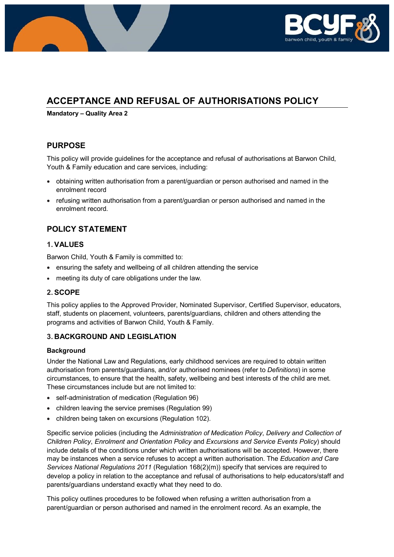

# **ACCEPTANCE AND REFUSAL OF AUTHORISATIONS POLICY**

**Mandatory – Quality Area 2**

## **PURPOSE**

This policy will provide guidelines for the acceptance and refusal of authorisations at Barwon Child, Youth & Family education and care services, including:

- obtaining written authorisation from a parent/guardian or person authorised and named in the enrolment record
- refusing written authorisation from a parent/guardian or person authorised and named in the enrolment record.

# **POLICY STATEMENT**

### **1. VALUES**

Barwon Child, Youth & Family is committed to:

- ensuring the safety and wellbeing of all children attending the service
- meeting its duty of care obligations under the law.

## **2. SCOPE**

This policy applies to the Approved Provider, Nominated Supervisor, Certified Supervisor, educators, staff, students on placement, volunteers, parents/guardians, children and others attending the programs and activities of Barwon Child, Youth & Family.

## **3. BACKGROUND AND LEGISLATION**

#### **Background**

Under the National Law and Regulations, early childhood services are required to obtain written authorisation from parents/guardians, and/or authorised nominees (refer to *Definitions*) in some circumstances, to ensure that the health, safety, wellbeing and best interests of the child are met. These circumstances include but are not limited to:

- self-administration of medication (Regulation 96)
- children leaving the service premises (Regulation 99)
- children being taken on excursions (Regulation 102).

Specific service policies (including the *Administration of Medication Policy*, *Delivery and Collection of Children Policy*, *Enrolment and Orientation Policy* and *Excursions and Service Events Policy*) should include details of the conditions under which written authorisations will be accepted. However, there may be instances when a service refuses to accept a written authorisation. The *Education and Care Services National Regulations 2011* (Regulation 168(2)(m)) specify that services are required to develop a policy in relation to the acceptance and refusal of authorisations to help educators/staff and parents/guardians understand exactly what they need to do.

This policy outlines procedures to be followed when refusing a written authorisation from a parent/guardian or person authorised and named in the enrolment record. As an example, the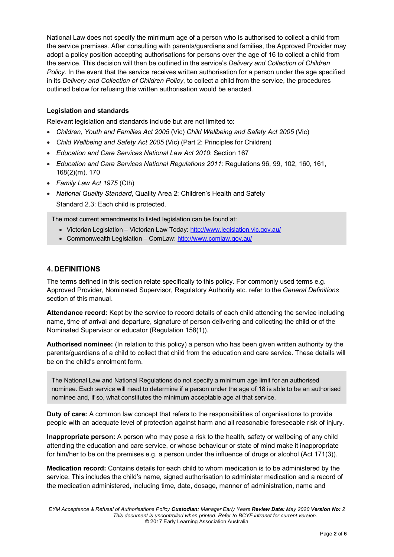National Law does not specify the minimum age of a person who is authorised to collect a child from the service premises. After consulting with parents/guardians and families, the Approved Provider may adopt a policy position accepting authorisations for persons over the age of 16 to collect a child from the service. This decision will then be outlined in the service's *Delivery and Collection of Children Policy*. In the event that the service receives written authorisation for a person under the age specified in its *Delivery and Collection of Children Policy*, to collect a child from the service, the procedures outlined below for refusing this written authorisation would be enacted.

### **Legislation and standards**

Relevant legislation and standards include but are not limited to:

- *Children, Youth and Families Act 2005* (Vic) *Child Wellbeing and Safety Act 2005* (Vic)
- *Child Wellbeing and Safety Act 2005* (Vic) (Part 2: Principles for Children)
- *Education and Care Services National Law Act 2010*: Section 167
- *Education and Care Services National Regulations 2011*: Regulations 96, 99, 102, 160, 161, 168(2)(m), 170
- *Family Law Act 1975* (Cth)
- *National Quality Standard*, Quality Area 2: Children's Health and Safety Standard 2.3: Each child is protected.

The most current amendments to listed legislation can be found at:

- Victorian Legislation Victorian Law Today:<http://www.legislation.vic.gov.au/>
- Commonwealth Legislation ComLaw: <http://www.comlaw.gov.au/>

### **4. DEFINITIONS**

The terms defined in this section relate specifically to this policy. For commonly used terms e.g. Approved Provider, Nominated Supervisor, Regulatory Authority etc. refer to the *General Definitions* section of this manual.

**Attendance record:** Kept by the service to record details of each child attending the service including name, time of arrival and departure, signature of person delivering and collecting the child or of the Nominated Supervisor or educator (Regulation 158(1)).

**Authorised nominee:** (In relation to this policy) a person who has been given written authority by the parents/guardians of a child to collect that child from the education and care service. These details will be on the child's enrolment form.

The National Law and National Regulations do not specify a minimum age limit for an authorised nominee. Each service will need to determine if a person under the age of 18 is able to be an authorised nominee and, if so, what constitutes the minimum acceptable age at that service.

**Duty of care:** A common law concept that refers to the responsibilities of organisations to provide people with an adequate level of protection against harm and all reasonable foreseeable risk of injury.

**Inappropriate person:** A person who may pose a risk to the health, safety or wellbeing of any child attending the education and care service, or whose behaviour or state of mind make it inappropriate for him/her to be on the premises e.g. a person under the influence of drugs or alcohol (Act 171(3)).

**Medication record:** Contains details for each child to whom medication is to be administered by the service. This includes the child's name, signed authorisation to administer medication and a record of the medication administered, including time, date, dosage, manner of administration, name and

*EYM Acceptance & Refusal of Authorisations Policy Custodian: Manager Early Years Review Date: May 2020 Version No: 2 This document is uncontrolled when printed. Refer to BCYF intranet for current version.* © 2017 Early Learning Association Australia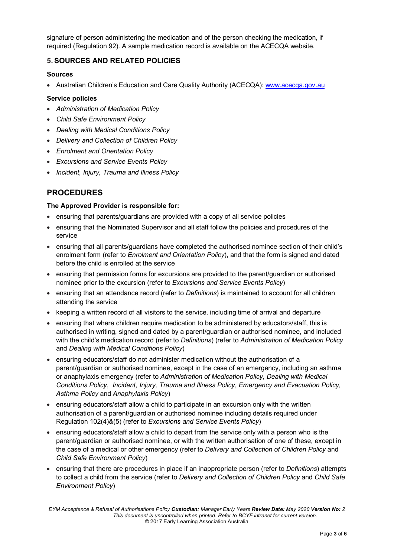signature of person administering the medication and of the person checking the medication, if required (Regulation 92). A sample medication record is available on the ACECQA website.

### **5. SOURCES AND RELATED POLICIES**

### **Sources**

• Australian Children's Education and Care Quality Authority (ACECQA): www.acecga.gov.au

### **Service policies**

- *Administration of Medication Policy*
- *Child Safe Environment Policy*
- *Dealing with Medical Conditions Policy*
- *Delivery and Collection of Children Policy*
- *Enrolment and Orientation Policy*
- *Excursions and Service Events Policy*
- *Incident, Injury, Trauma and Illness Policy*

# **PROCEDURES**

#### **The Approved Provider is responsible for:**

- ensuring that parents/guardians are provided with a copy of all service policies
- ensuring that the Nominated Supervisor and all staff follow the policies and procedures of the service
- ensuring that all parents/guardians have completed the authorised nominee section of their child's enrolment form (refer to *Enrolment and Orientation Policy*), and that the form is signed and dated before the child is enrolled at the service
- ensuring that permission forms for excursions are provided to the parent/guardian or authorised nominee prior to the excursion (refer to *Excursions and Service Events Policy*)
- ensuring that an attendance record (refer to *Definitions*) is maintained to account for all children attending the service
- keeping a written record of all visitors to the service, including time of arrival and departure
- ensuring that where children require medication to be administered by educators/staff, this is authorised in writing, signed and dated by a parent/guardian or authorised nominee, and included with the child's medication record (refer to *Definitions*) (refer to *Administration of Medication Policy* and *Dealing with Medical Conditions Policy*)
- ensuring educators/staff do not administer medication without the authorisation of a parent/guardian or authorised nominee, except in the case of an emergency, including an asthma or anaphylaxis emergency (refer to *Administration of Medication Policy*, *Dealing with Medical Conditions Policy*, *Incident, Injury, Trauma and Illness Policy*, *Emergency and Evacuation Policy, Asthma Policy* and *Anaphylaxis Policy*)
- ensuring educators/staff allow a child to participate in an excursion only with the written authorisation of a parent/guardian or authorised nominee including details required under Regulation 102(4)&(5) (refer to *Excursions and Service Events Policy*)
- ensuring educators/staff allow a child to depart from the service only with a person who is the parent/guardian or authorised nominee, or with the written authorisation of one of these, except in the case of a medical or other emergency (refer to *Delivery and Collection of Children Policy* and *Child Safe Environment Policy*)
- ensuring that there are procedures in place if an inappropriate person (refer to *Definitions*) attempts to collect a child from the service (refer to *Delivery and Collection of Children Policy* and *Child Safe Environment Policy*)

*EYM Acceptance & Refusal of Authorisations Policy Custodian: Manager Early Years Review Date: May 2020 Version No: 2 This document is uncontrolled when printed. Refer to BCYF intranet for current version.* © 2017 Early Learning Association Australia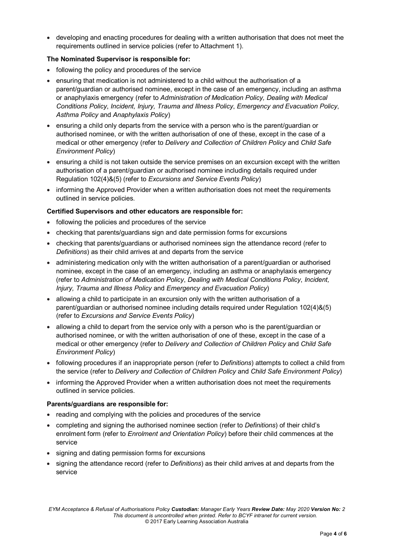• developing and enacting procedures for dealing with a written authorisation that does not meet the requirements outlined in service policies (refer to Attachment 1).

### **The Nominated Supervisor is responsible for:**

- following the policy and procedures of the service
- ensuring that medication is not administered to a child without the authorisation of a parent/guardian or authorised nominee, except in the case of an emergency, including an asthma or anaphylaxis emergency (refer to *Administration of Medication Policy, Dealing with Medical Conditions Policy*, *Incident, Injury, Trauma and Illness Policy*, *Emergency and Evacuation Policy*, *Asthma Policy* and *Anaphylaxis Policy*)
- ensuring a child only departs from the service with a person who is the parent/guardian or authorised nominee, or with the written authorisation of one of these, except in the case of a medical or other emergency (refer to *Delivery and Collection of Children Policy* and *Child Safe Environment Policy*)
- ensuring a child is not taken outside the service premises on an excursion except with the written authorisation of a parent/guardian or authorised nominee including details required under Regulation 102(4)&(5) (refer to *Excursions and Service Events Policy*)
- informing the Approved Provider when a written authorisation does not meet the requirements outlined in service policies.

### **Certified Supervisors and other educators are responsible for:**

- following the policies and procedures of the service
- checking that parents/guardians sign and date permission forms for excursions
- checking that parents/guardians or authorised nominees sign the attendance record (refer to *Definitions*) as their child arrives at and departs from the service
- administering medication only with the written authorisation of a parent/guardian or authorised nominee, except in the case of an emergency, including an asthma or anaphylaxis emergency (refer to *Administration of Medication Policy*, *Dealing with Medical Conditions Policy*, *Incident, Injury, Trauma and Illness Policy* and *Emergency and Evacuation Policy*)
- allowing a child to participate in an excursion only with the written authorisation of a parent/guardian or authorised nominee including details required under Regulation 102(4)&(5) (refer to *Excursions and Service Events Policy*)
- allowing a child to depart from the service only with a person who is the parent/guardian or authorised nominee, or with the written authorisation of one of these, except in the case of a medical or other emergency (refer to *Delivery and Collection of Children Policy* and *Child Safe Environment Policy*)
- following procedures if an inappropriate person (refer to *Definitions*) attempts to collect a child from the service (refer to *Delivery and Collection of Children Policy* and *Child Safe Environment Policy*)
- informing the Approved Provider when a written authorisation does not meet the requirements outlined in service policies.

#### **Parents/guardians are responsible for:**

- reading and complying with the policies and procedures of the service
- completing and signing the authorised nominee section (refer to *Definitions*) of their child's enrolment form (refer to *Enrolment and Orientation Policy*) before their child commences at the service
- signing and dating permission forms for excursions
- signing the attendance record (refer to *Definitions*) as their child arrives at and departs from the service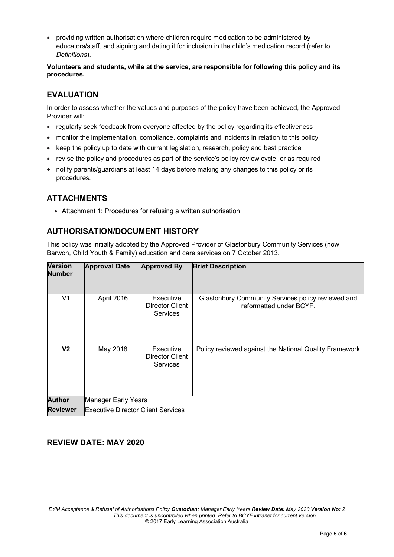• providing written authorisation where children require medication to be administered by educators/staff, and signing and dating it for inclusion in the child's medication record (refer to *Definitions*).

**Volunteers and students, while at the service, are responsible for following this policy and its procedures.**

# **EVALUATION**

In order to assess whether the values and purposes of the policy have been achieved, the Approved Provider will:

- regularly seek feedback from everyone affected by the policy regarding its effectiveness
- monitor the implementation, compliance, complaints and incidents in relation to this policy
- keep the policy up to date with current legislation, research, policy and best practice
- revise the policy and procedures as part of the service's policy review cycle, or as required
- notify parents/guardians at least 14 days before making any changes to this policy or its procedures.

# **ATTACHMENTS**

• Attachment 1: Procedures for refusing a written authorisation

## **AUTHORISATION/DOCUMENT HISTORY**

This policy was initially adopted by the Approved Provider of Glastonbury Community Services (now Barwon, Child Youth & Family) education and care services on 7 October 2013.

| <b>Version</b><br><b>Number</b> | <b>Approval Date</b>                      | <b>Approved By</b>                                     | <b>Brief Description</b>                                                      |
|---------------------------------|-------------------------------------------|--------------------------------------------------------|-------------------------------------------------------------------------------|
| V <sub>1</sub>                  | April 2016                                | Executive<br><b>Director Client</b><br><b>Services</b> | Glastonbury Community Services policy reviewed and<br>reformatted under BCYF. |
| V2                              | May 2018                                  | Executive<br><b>Director Client</b><br><b>Services</b> | Policy reviewed against the National Quality Framework                        |
| <b>Author</b>                   | Manager Early Years                       |                                                        |                                                                               |
| <b>Reviewer</b>                 | <b>Executive Director Client Services</b> |                                                        |                                                                               |

### **REVIEW DATE: MAY 2020**